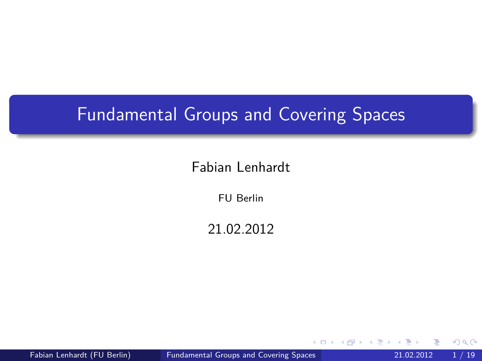# Fundamental Groups and Covering Spaces

Fabian Lenhardt

FU Berlin

21.02.2012

<span id="page-0-0"></span> $\leftarrow$   $\Box$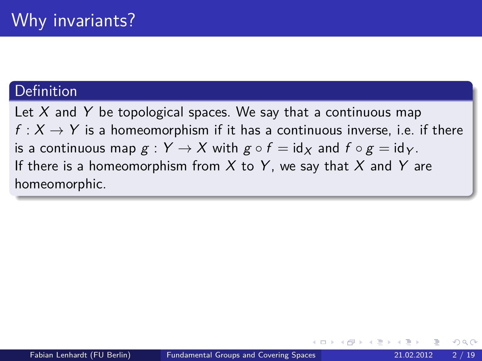Let X and Y be topological spaces. We say that a continuous map  $f: X \to Y$  is a homeomorphism if it has a continuous inverse, i.e. if there is a continuous map  $g: Y \to X$  with  $g \circ f = id_X$  and  $f \circ g = id_Y$ . If there is a homeomorphism from X to Y, we say that X and Y are homeomorphic.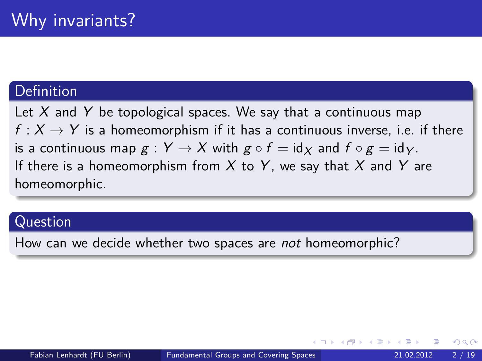Let  $X$  and  $Y$  be topological spaces. We say that a continuous map  $f: X \to Y$  is a homeomorphism if it has a continuous inverse, i.e. if there is a continuous map  $g: Y \to X$  with  $g \circ f = id_X$  and  $f \circ g = id_Y$ . If there is a homeomorphism from X to Y, we say that X and Y are homeomorphic.

#### Question

How can we decide whether two spaces are not homeomorphic?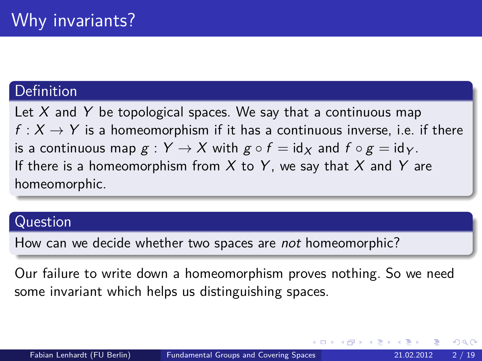Let X and Y be topological spaces. We say that a continuous map  $f: X \to Y$  is a homeomorphism if it has a continuous inverse, i.e. if there is a continuous map  $g: Y \to X$  with  $g \circ f = id_X$  and  $f \circ g = id_Y$ . If there is a homeomorphism from X to Y, we say that X and Y are homeomorphic.

#### Question

How can we decide whether two spaces are not homeomorphic?

Our failure to write down a homeomorphism proves nothing. So we need some invariant which helps us distinguishing spaces.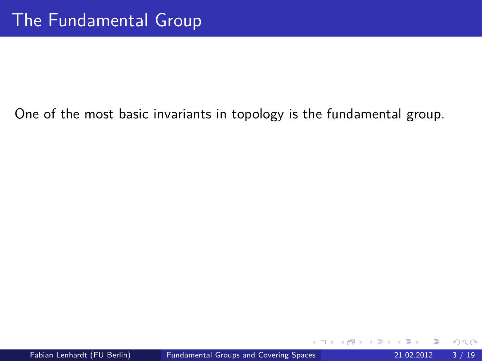# One of the most basic invariants in topology is the fundamental group.

4 0 8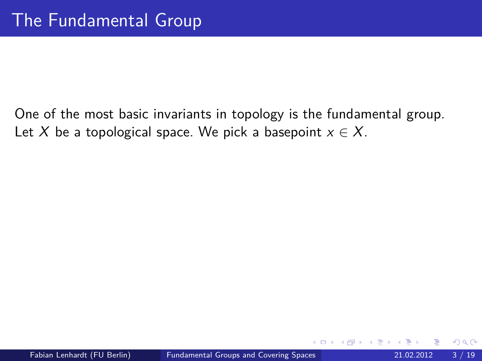One of the most basic invariants in topology is the fundamental group. Let X be a topological space. We pick a basepoint  $x \in X$ .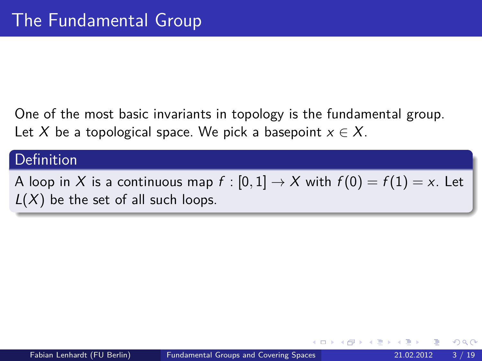One of the most basic invariants in topology is the fundamental group. Let X be a topological space. We pick a basepoint  $x \in X$ .

## Definition

A loop in X is a continuous map  $f : [0,1] \to X$  with  $f(0) = f(1) = x$ . Let  $L(X)$  be the set of all such loops.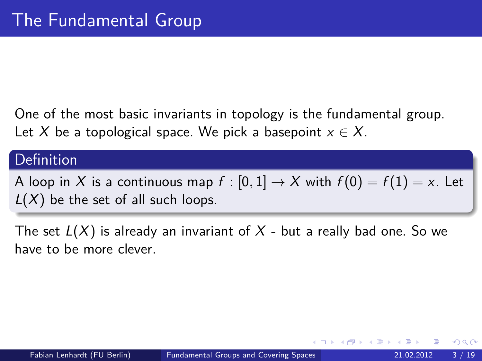One of the most basic invariants in topology is the fundamental group. Let X be a topological space. We pick a basepoint  $x \in X$ .

# **Definition**

A loop in X is a continuous map  $f : [0,1] \to X$  with  $f(0) = f(1) = x$ . Let  $L(X)$  be the set of all such loops.

The set  $L(X)$  is already an invariant of X - but a really bad one. So we have to be more clever.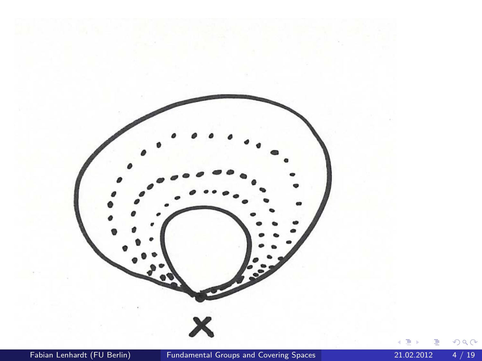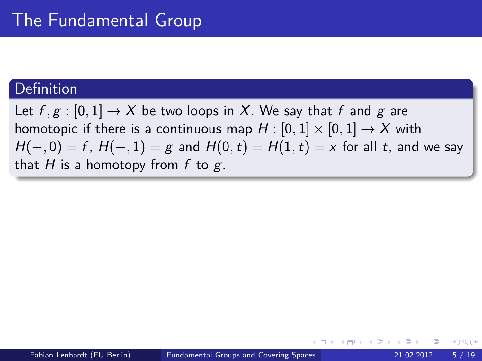Let  $f, g : [0, 1] \rightarrow X$  be two loops in X. We say that f and g are homotopic if there is a continuous map  $H : [0,1] \times [0,1] \rightarrow X$  with  $H(-,0) = f$ ,  $H(-,1) = g$  and  $H(0,t) = H(1,t) = x$  for all t, and we say that H is a homotopy from f to  $g$ .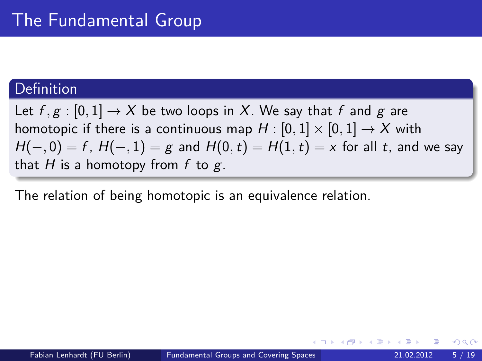Let  $f, g : [0, 1] \rightarrow X$  be two loops in X. We say that f and g are homotopic if there is a continuous map  $H : [0,1] \times [0,1] \rightarrow X$  with  $H(-,0) = f$ ,  $H(-,1) = g$  and  $H(0,t) = H(1,t) = x$  for all t, and we say that H is a homotopy from f to  $g$ .

The relation of being homotopic is an equivalence relation.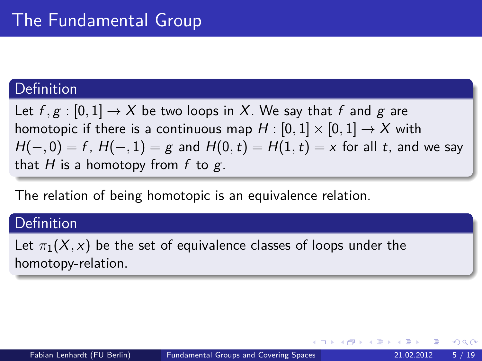Let  $f, g : [0, 1] \rightarrow X$  be two loops in X. We say that f and g are homotopic if there is a continuous map  $H : [0,1] \times [0,1] \rightarrow X$  with  $H(-,0) = f$ ,  $H(-,1) = g$  and  $H(0,t) = H(1,t) = x$  for all t, and we say that H is a homotopy from f to  $g$ .

The relation of being homotopic is an equivalence relation.

#### **Definition**

Let  $\pi_1(X, x)$  be the set of equivalence classes of loops under the homotopy-relation.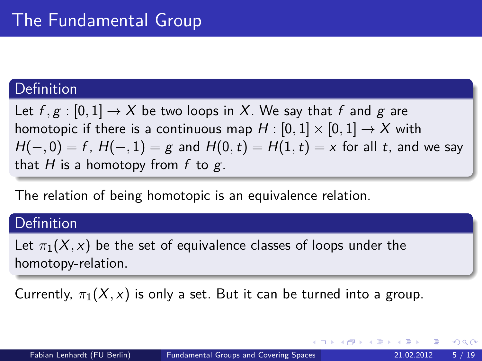Let  $f, g : [0, 1] \rightarrow X$  be two loops in X. We say that f and g are homotopic if there is a continuous map  $H : [0,1] \times [0,1] \rightarrow X$  with  $H(-,0) = f$ ,  $H(-,1) = g$  and  $H(0,t) = H(1,t) = x$  for all t, and we say that H is a homotopy from f to  $g$ .

The relation of being homotopic is an equivalence relation.

#### **Definition**

Let  $\pi_1(X, x)$  be the set of equivalence classes of loops under the homotopy-relation.

Currently,  $\pi_1(X, x)$  is only a set. But it can be turned into a group.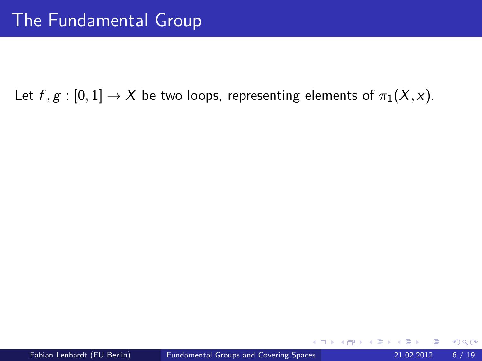Let  $f, g : [0, 1] \rightarrow X$  be two loops, representing elements of  $\pi_1(X, x)$ .

 $\leftarrow$   $\Box$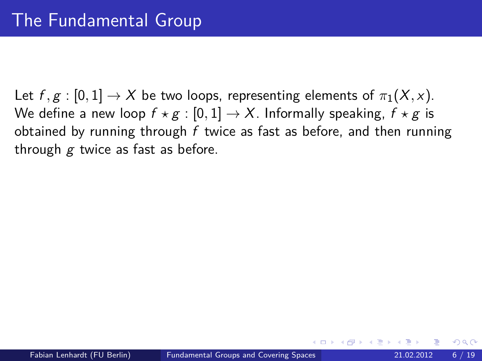Let  $f, g : [0, 1] \rightarrow X$  be two loops, representing elements of  $\pi_1(X, x)$ . We define a new loop  $f \star g : [0,1] \to X$ . Informally speaking,  $f \star g$  is obtained by running through  $f$  twice as fast as before, and then running through  $g$  twice as fast as before.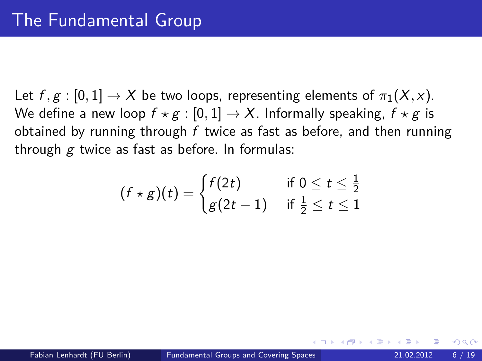Let  $f, g : [0, 1] \rightarrow X$  be two loops, representing elements of  $\pi_1(X, x)$ . We define a new loop  $f \star g : [0,1] \to X$ . Informally speaking,  $f \star g$  is obtained by running through  $f$  twice as fast as before, and then running through  $g$  twice as fast as before. In formulas:

$$
(f \star g)(t) = \begin{cases} f(2t) & \text{if } 0 \leq t \leq \frac{1}{2} \\ g(2t-1) & \text{if } \frac{1}{2} \leq t \leq 1 \end{cases}
$$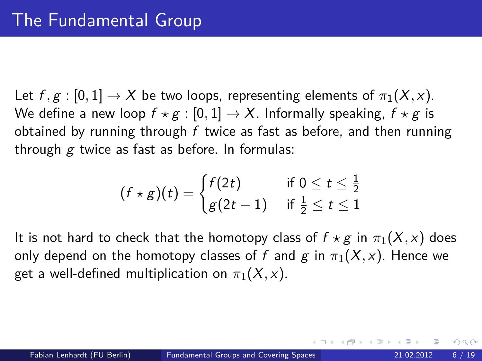Let  $f, g : [0, 1] \rightarrow X$  be two loops, representing elements of  $\pi_1(X, x)$ . We define a new loop  $f \star g : [0,1] \to X$ . Informally speaking,  $f \star g$  is obtained by running through  $f$  twice as fast as before, and then running through  $g$  twice as fast as before. In formulas:

$$
(f \star g)(t) = \begin{cases} f(2t) & \text{if } 0 \leq t \leq \frac{1}{2} \\ g(2t-1) & \text{if } \frac{1}{2} \leq t \leq 1 \end{cases}
$$

It is not hard to check that the homotopy class of  $f \star g$  in  $\pi_1(X, x)$  does only depend on the homotopy classes of f and g in  $\pi_1(X, x)$ . Hence we get a well-defined multiplication on  $\pi_1(X, x)$ .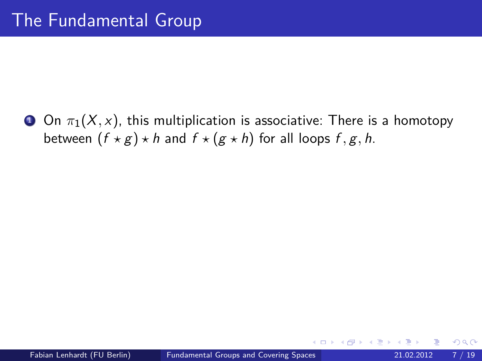**1** On  $\pi_1(X, x)$ , this multiplication is associative: There is a homotopy between  $(f \star g) \star h$  and  $f \star (g \star h)$  for all loops  $f, g, h$ .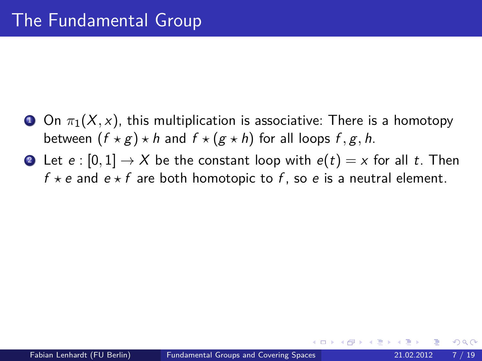- **1** On  $\pi_1(X, x)$ , this multiplication is associative: There is a homotopy between  $(f \star g) \star h$  and  $f \star (g \star h)$  for all loops  $f, g, h$ .
- 2 Let  $e : [0,1] \to X$  be the constant loop with  $e(t) = x$  for all t. Then  $f \star e$  and  $e \star f$  are both homotopic to f, so e is a neutral element.

つひひ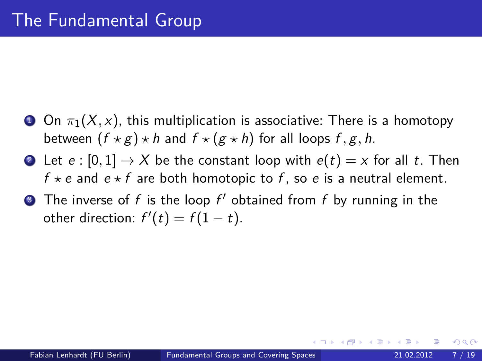- **1** On  $\pi_1(X, x)$ , this multiplication is associative: There is a homotopy between  $(f \star g) \star h$  and  $f \star (g \star h)$  for all loops  $f, g, h$ .
- 2 Let  $e : [0,1] \to X$  be the constant loop with  $e(t) = x$  for all t. Then  $f \star e$  and  $e \star f$  are both homotopic to f, so e is a neutral element.
- **3** The inverse of f is the loop  $f'$  obtained from f by running in the other direction:  $f'(t) = f(1-t)$ .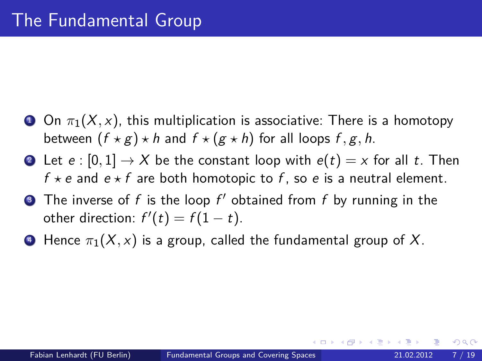- **1** On  $\pi_1(X, x)$ , this multiplication is associative: There is a homotopy between  $(f \star g) \star h$  and  $f \star (g \star h)$  for all loops  $f, g, h$ .
- 2 Let  $e : [0,1] \to X$  be the constant loop with  $e(t) = x$  for all t. Then  $f \star e$  and  $e \star f$  are both homotopic to f, so e is a neutral element.
- **3** The inverse of f is the loop  $f'$  obtained from f by running in the other direction:  $f'(t) = f(1-t)$ .
- $\bullet$  Hence  $\pi_1(X, x)$  is a group, called the fundamental group of X.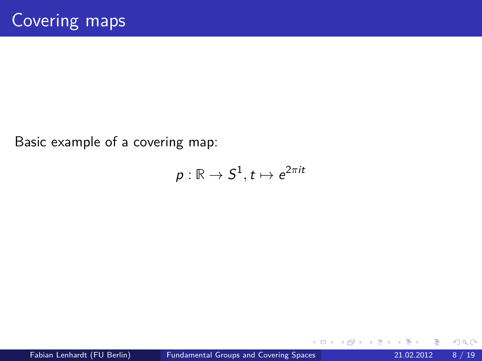Basic example of a covering map:

$$
\rho:\mathbb{R}\to S^1, t\mapsto e^{2\pi it}
$$

4 0 8

∢母  $\left( 1\right)$ Э×.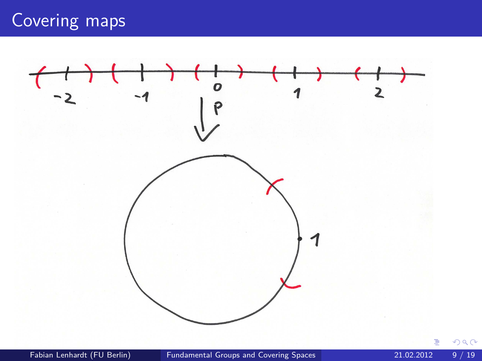# Covering maps

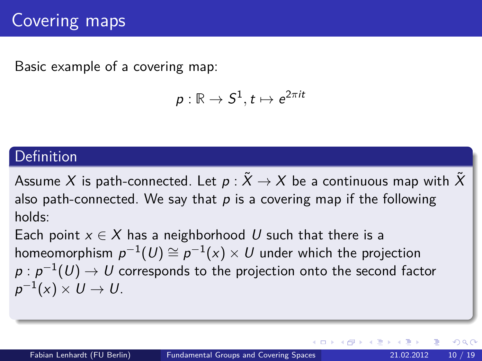Basic example of a covering map:

$$
\rho:\mathbb{R}\to S^1, t\mapsto e^{2\pi it}
$$

## **Definition**

Assume X is path-connected. Let  $p : \tilde{X} \to X$  be a continuous map with  $\tilde{X}$ also path-connected. We say that  $p$  is a covering map if the following holds:

Each point  $x \in X$  has a neighborhood U such that there is a homeomorphism  $p^{-1}(U) \cong \overline{\rho}^{-1}(x) \times U$  under which the projection  $p:p^{-1}(U)\to U$  corresponds to the projection onto the second factor  $p^{-1}(x)\times U\to U.$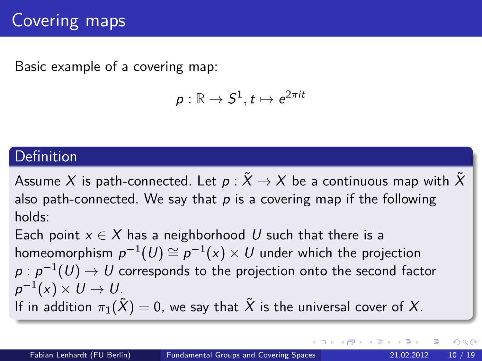Basic example of a covering map:

$$
\rho:\mathbb{R}\to S^1, t\mapsto e^{2\pi it}
$$

## **Definition**

Assume X is path-connected. Let  $p : \tilde{X} \to X$  be a continuous map with  $\tilde{X}$ also path-connected. We say that  $p$  is a covering map if the following holds:

Each point  $x \in X$  has a neighborhood U such that there is a homeomorphism  $p^{-1}(U) \cong \overline{\rho}^{-1}(x) \times U$  under which the projection  $p:p^{-1}(U)\to U$  corresponds to the projection onto the second factor  $p^{-1}(x)\times U\to U.$ If in addition  $\pi_1(\tilde{X}) = 0$ , we say that  $\tilde{X}$  is the universal cover of X.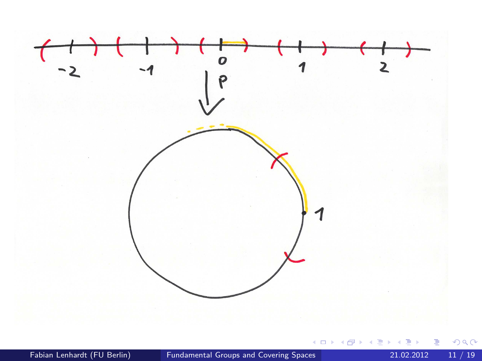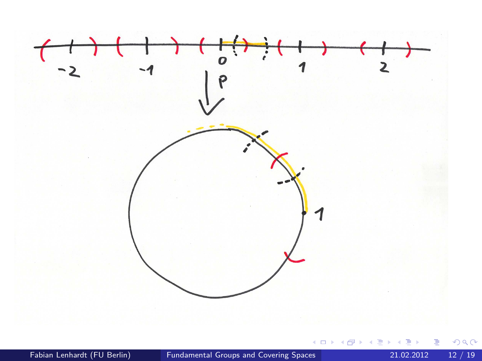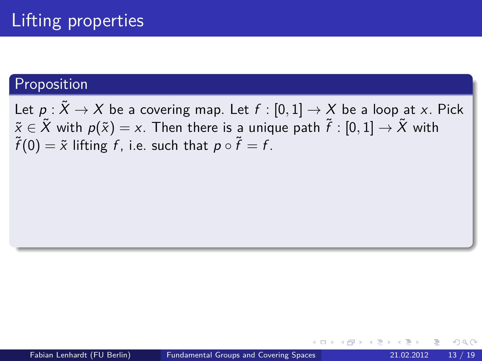# Proposition

Let  $p : \tilde{X} \to X$  be a covering map. Let  $f : [0,1] \to X$  be a loop at x. Pick  $\tilde{x} \in \tilde{X}$  with  $p(\tilde{x}) = x$ . Then there is a unique path  $\tilde{f} : [0, 1] \to \tilde{X}$  with  $\widetilde{f}(0)=\widetilde{x}$  lifting  $f$ , i.e. such that  $p\circ\widetilde{f}=f$ .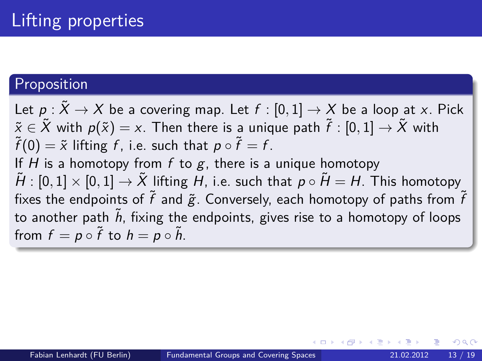# Proposition

Let  $p : \tilde{X} \to X$  be a covering map. Let  $f : [0,1] \to X$  be a loop at x. Pick  $\tilde{x} \in \tilde{X}$  with  $p(\tilde{x}) = x$ . Then there is a unique path  $\tilde{f} : [0,1] \rightarrow \tilde{X}$  with  $\widetilde{f}(0)=\widetilde{x}$  lifting  $f$ , i.e. such that  $p\circ\widetilde{f}=f$ . If H is a homotopy from f to  $g$ , there is a unique homotopy  $\tilde{H}$  :  $[0,1] \times [0,1] \rightarrow \tilde{X}$  lifting H, i.e. such that  $p \circ \tilde{H} = H$ . This homotopy fixes the endpoints of  $\tilde{f}$  and  $\tilde{g}$ . Conversely, each homotopy of paths from  $\tilde{f}$ to another path  $\tilde{h}$ , fixing the endpoints, gives rise to a homotopy of loops from  $f = p \circ \tilde{f}$  to  $h = p \circ \tilde{h}$ .

つひい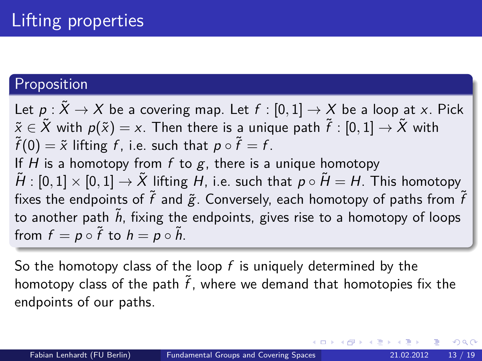# Proposition

Let  $p : \tilde{X} \to X$  be a covering map. Let  $f : [0,1] \to X$  be a loop at x. Pick  $\tilde{x} \in \tilde{X}$  with  $p(\tilde{x}) = x$ . Then there is a unique path  $\tilde{f} : [0,1] \rightarrow \tilde{X}$  with  $\widetilde{f}(0)=\widetilde{x}$  lifting  $f$ , i.e. such that  $p\circ\widetilde{f}=f$ . If H is a homotopy from f to  $g$ , there is a unique homotopy  $\tilde{H}$  :  $[0,1] \times [0,1] \rightarrow \tilde{X}$  lifting H, i.e. such that  $p \circ \tilde{H} = H$ . This homotopy fixes the endpoints of  $\tilde{f}$  and  $\tilde{g}$ . Conversely, each homotopy of paths from  $\tilde{f}$ to another path  $\tilde{h}$ , fixing the endpoints, gives rise to a homotopy of loops from  $f = p \circ \tilde{f}$  to  $h = p \circ \tilde{h}$ .

So the homotopy class of the loop  $f$  is uniquely determined by the homotopy class of the path  $\tilde{f}$ , where we demand that homotopies fix the endpoints of our paths.

 $\mathcal{A} \left( \overline{\mathbf{H}} \right) \rightarrow \mathcal{A} \left( \overline{\mathbf{H}} \right) \rightarrow \mathcal{A} \left( \overline{\mathbf{H}} \right)$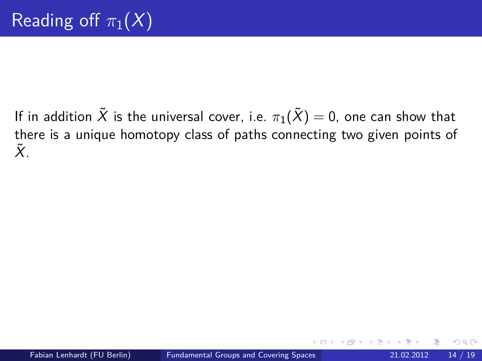If in addition  $\tilde{X}$  is the universal cover, i.e.  $\pi_1(\tilde{X}) = 0$ , one can show that there is a unique homotopy class of paths connecting two given points of  $\tilde{X}$ .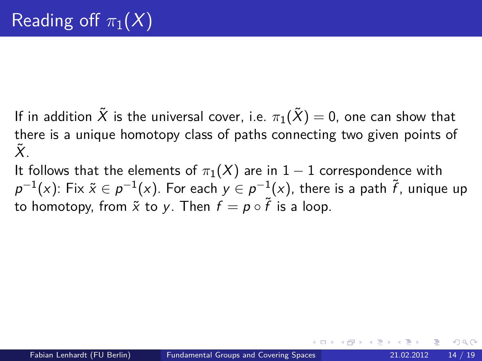If in addition  $\tilde{X}$  is the universal cover, i.e.  $\pi_1(\tilde{X}) = 0$ , one can show that there is a unique homotopy class of paths connecting two given points of  $\tilde{\mathsf{X}}$  .

It follows that the elements of  $\pi_1(X)$  are in  $1 - 1$  correspondence with  $\overline{\rho}^{-1}(x)$ : Fix  $\tilde{x}\in \overline{\rho}^{-1}(x)$ . For each  $y\in \overline{\rho}^{-1}(x),$  there is a path  $\tilde{f}$ , unique up to homotopy, from  $\tilde{x}$  to y. Then  $f = p \circ \tilde{f}$  is a loop.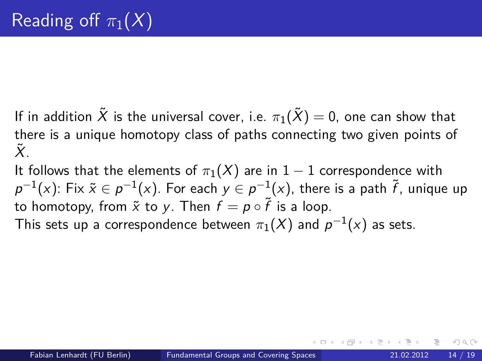If in addition  $\tilde{X}$  is the universal cover, i.e.  $\pi_1(\tilde{X}) = 0$ , one can show that there is a unique homotopy class of paths connecting two given points of  $\tilde{\mathsf{X}}$  .

It follows that the elements of  $\pi_1(X)$  are in  $1 - 1$  correspondence with  $\overline{\rho}^{-1}(x)$ : Fix  $\tilde{x}\in \overline{\rho}^{-1}(x)$ . For each  $y\in \overline{\rho}^{-1}(x),$  there is a path  $\tilde{f}$ , unique up to homotopy, from  $\tilde{x}$  to y. Then  $f = p \circ \tilde{f}$  is a loop.

This sets up a correspondence between  $\pi_1(X)$  and  $\rho^{-1}(x)$  as sets.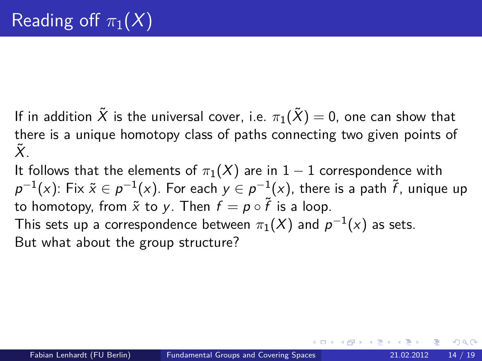If in addition  $\tilde{X}$  is the universal cover, i.e.  $\pi_1(\tilde{X}) = 0$ , one can show that there is a unique homotopy class of paths connecting two given points of  $\tilde{X}$ .

It follows that the elements of  $\pi_1(X)$  are in  $1 - 1$  correspondence with  $\overline{\rho}^{-1}(x)$ : Fix  $\tilde{x}\in \overline{\rho}^{-1}(x)$ . For each  $y\in \overline{\rho}^{-1}(x),$  there is a path  $\tilde{f}$ , unique up to homotopy, from  $\tilde{x}$  to y. Then  $f = p \circ \tilde{f}$  is a loop. This sets up a correspondence between  $\pi_1(X)$  and  $\rho^{-1}(x)$  as sets.

But what about the group structure?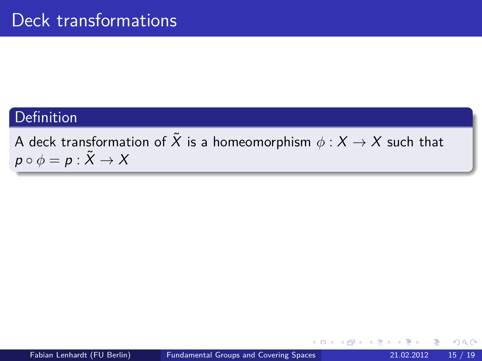A deck transformation of  $\tilde{X}$  is a homeomorphism  $\phi : X \to X$  such that  $p \circ \phi = p : \tilde{X} \to X$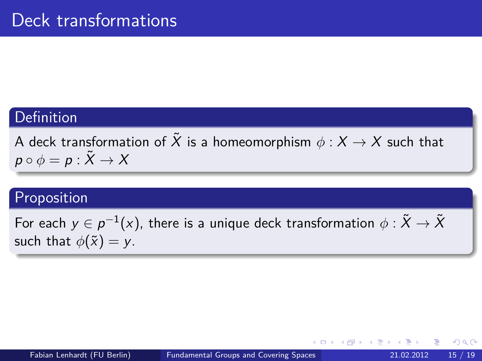A deck transformation of  $\tilde{X}$  is a homeomorphism  $\phi: X \to X$  such that  $p \circ \phi = p : \tilde{X} \to X$ 

# Proposition

For each  $y\in p^{-1}(x),$  there is a unique deck transformation  $\phi:\tilde X\to \tilde X$ such that  $\phi(\tilde{x}) = y$ .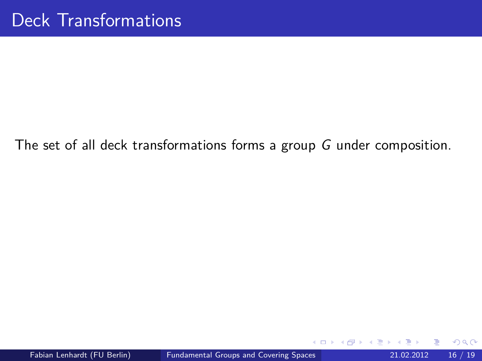### The set of all deck transformations forms a group G under composition.

4日下

 $QQ$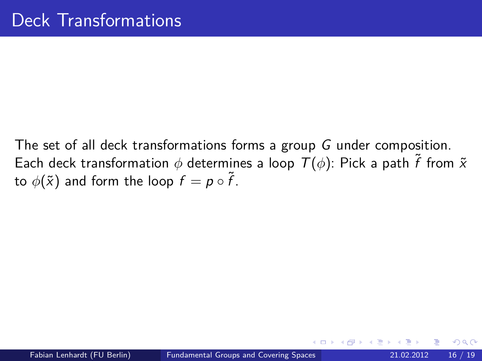The set of all deck transformations forms a group G under composition. Each deck transformation  $\phi$  determines a loop  $T(\phi)$ : Pick a path  $\tilde{f}$  from  $\tilde{x}$ to  $\phi(\tilde{x})$  and form the loop  $f = p \circ \tilde{f}$ .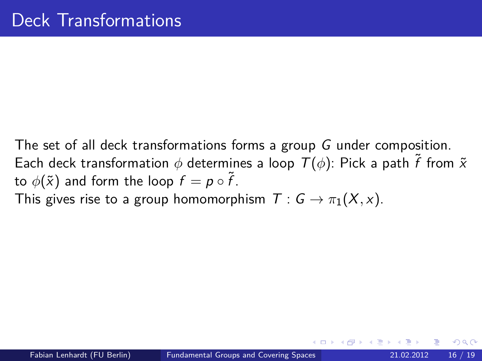The set of all deck transformations forms a group G under composition. Each deck transformation  $\phi$  determines a loop  $T(\phi)$ : Pick a path  $\tilde{f}$  from  $\tilde{x}$ to  $\phi(\tilde{x})$  and form the loop  $f = p \circ \tilde{f}$ . This gives rise to a group homomorphism  $T: G \to \pi_1(X, x)$ .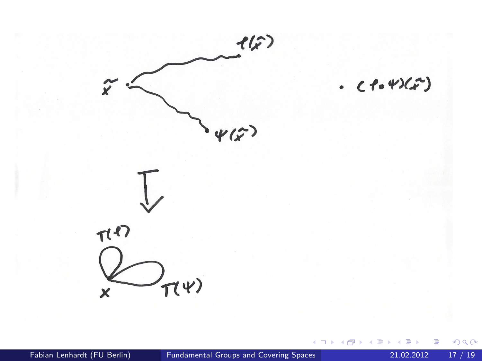

メロトメ 倒 トメ ミトメ ミト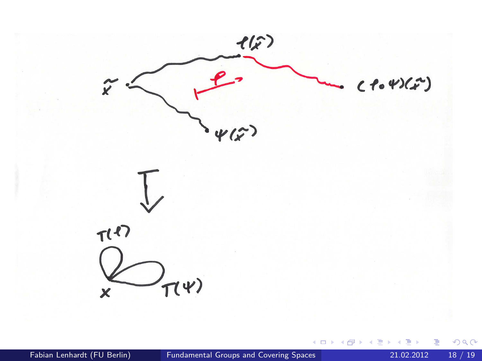

 $299$ 

イロト イ部 トイモ トイモト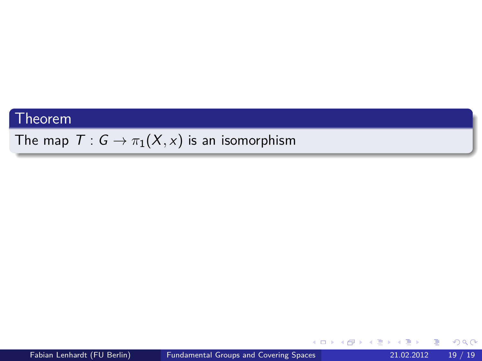#### Theorem

The map  $T: G \to \pi_1(X, x)$  is an isomorphism

4 0 8

э.  $\rightarrow$